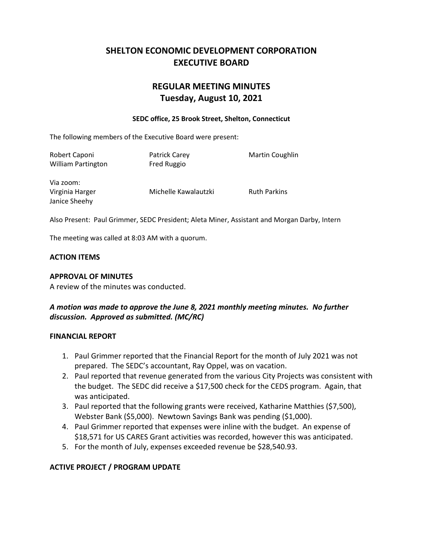## **SHELTON ECONOMIC DEVELOPMENT CORPORATION EXECUTIVE BOARD**

# **REGULAR MEETING MINUTES Tuesday, August 10, 2021**

#### **SEDC office, 25 Brook Street, Shelton, Connecticut**

The following members of the Executive Board were present:

| Robert Caponi<br><b>William Partington</b>    | <b>Patrick Carey</b><br>Fred Ruggio | <b>Martin Coughlin</b> |
|-----------------------------------------------|-------------------------------------|------------------------|
| Via zoom:<br>Virginia Harger<br>Janice Sheehy | Michelle Kawalautzki                | <b>Ruth Parkins</b>    |

Also Present: Paul Grimmer, SEDC President; Aleta Miner, Assistant and Morgan Darby, Intern

The meeting was called at 8:03 AM with a quorum.

### **ACTION ITEMS**

### **APPROVAL OF MINUTES**

A review of the minutes was conducted.

## *A motion was made to approve the June 8, 2021 monthly meeting minutes. No further discussion. Approved as submitted. (MC/RC)*

### **FINANCIAL REPORT**

- 1. Paul Grimmer reported that the Financial Report for the month of July 2021 was not prepared. The SEDC's accountant, Ray Oppel, was on vacation.
- 2. Paul reported that revenue generated from the various City Projects was consistent with the budget. The SEDC did receive a \$17,500 check for the CEDS program. Again, that was anticipated.
- 3. Paul reported that the following grants were received, Katharine Matthies (\$7,500), Webster Bank (\$5,000). Newtown Savings Bank was pending (\$1,000).
- 4. Paul Grimmer reported that expenses were inline with the budget. An expense of \$18,571 for US CARES Grant activities was recorded, however this was anticipated.
- 5. For the month of July, expenses exceeded revenue be \$28,540.93.

## **ACTIVE PROJECT / PROGRAM UPDATE**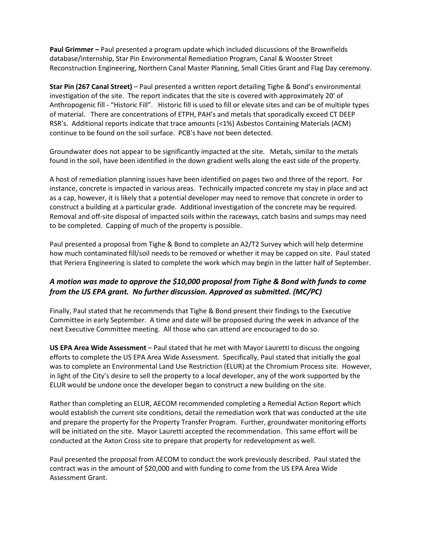**Paul Grimmer –** Paul presented a program update which included discussions of the Brownfields database/internship, Star Pin Environmental Remediation Program, Canal & Wooster Street Reconstruction Engineering, Northern Canal Master Planning, Small Cities Grant and Flag Day ceremony.

**Star Pin (267 Canal Street)** – Paul presented a written report detailing Tighe & Bond's environmental investigation of the site. The report indicates that the site is covered with approximately 20' of Anthropogenic fill - "Historic Fill". Historic fill is used to fill or elevate sites and can be of multiple types of material. There are concentrations of ETPH, PAH's and metals that sporadically exceed CT DEEP RSR's. Additional reports indicate that trace amounts (<1%) Asbestos Containing Materials (ACM) continue to be found on the soil surface. PCB's have not been detected.

Groundwater does not appear to be significantly impacted at the site. Metals, similar to the metals found in the soil, have been identified in the down gradient wells along the east side of the property.

A host of remediation planning issues have been identified on pages two and three of the report. For instance, concrete is impacted in various areas. Technically impacted concrete my stay in place and act as a cap, however, it is likely that a potential developer may need to remove that concrete in order to construct a building at a particular grade. Additional investigation of the concrete may be required. Removal and off-site disposal of impacted soils within the raceways, catch basins and sumps may need to be completed. Capping of much of the property is possible.

Paul presented a proposal from Tighe & Bond to complete an A2/T2 Survey which will help determine how much contaminated fill/soil needs to be removed or whether it may be capped on site. Paul stated that Periera Engineering is slated to complete the work which may begin in the latter half of September.

## *A motion was made to approve the \$10,000 proposal from Tighe & Bond with funds to come from the US EPA grant. No further discussion. Approved as submitted. (MC/PC)*

Finally, Paul stated that he recommends that Tighe & Bond present their findings to the Executive Committee in early September. A time and date will be proposed during the week in advance of the next Executive Committee meeting. All those who can attend are encouraged to do so.

**US EPA Area Wide Assessment** – Paul stated that he met with Mayor Lauretti to discuss the ongoing efforts to complete the US EPA Area Wide Assessment. Specifically, Paul stated that initially the goal was to complete an Environmental Land Use Restriction (ELUR) at the Chromium Process site. However, in light of the City's desire to sell the property to a local developer, any of the work supported by the ELUR would be undone once the developer began to construct a new building on the site.

Rather than completing an ELUR, AECOM recommended completing a Remedial Action Report which would establish the current site conditions, detail the remediation work that was conducted at the site and prepare the property for the Property Transfer Program. Further, groundwater monitoring efforts will be initiated on the site. Mayor Lauretti accepted the recommendation. This same effort will be conducted at the Axton Cross site to prepare that property for redevelopment as well.

Paul presented the proposal from AECOM to conduct the work previously described. Paul stated the contract was in the amount of \$20,000 and with funding to come from the US EPA Area Wide Assessment Grant.